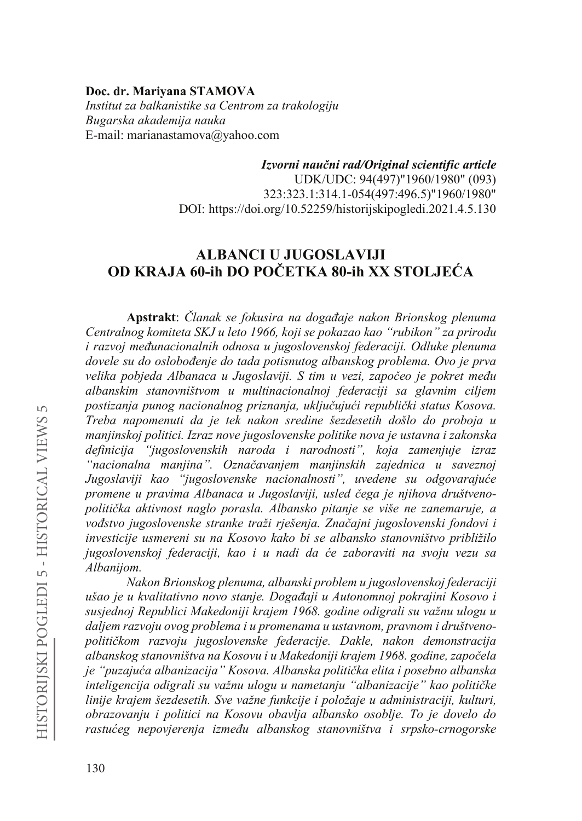### **Doc. dr. Mariyana STAMOVA** *Institut za balkanistike sa Centrom za trakologiju Bugarska akademija nauka* E-mail: marianastamova@yahoo.com

Izvorni naučni rad/Original scientific article UDK/UDC: 94(497)"1960/1980" (093) 323:323.1:314.1-054(497:496.5)"1960/1980" DOI: https://doi.org/10.52259/historijskipogledi.2021.4.5.130

# **ALBANCI U JUGOSLAVIJI OD KRAJA 60-ih DO POČETKA 80-ih XX STOLJEĆA**

Apstrakt: *Članak se fokusira na događaje nakon Brionskog plenuma Centralnog komiteta SKJ u leto 1966, koji se pokazao kao "rubikon" za prirodu i razvoj međunacionalnih odnosa u jugoslovenskoj federaciji. Odluke plenuma GRYHOHVXGRRVORERÿHQMH do tada potisnutog albanskog problema. Ovo je prva velika pobjeda Albanaca u Jugoslaviji. S tim u vezi, započeo je pokret među albanskim stanovništvom u multinacionalnoj federaciji sa glavnim ciljem*  postizanja punog nacionalnog priznanja, uključujući republički status Kosova. *Treba napomenuti da je tek nakon sredine šezdesetih došlo do proboja u manjinskoj politici. Izraz nove jugoslovenske politike nova je ustavna i zakonska definicija "jugoslovenskih naroda i narodnosti", koja zamenjuje izraz*  "nacionalna manjina". Označavanjem manjinskih zajednica u saveznoj *Jugoslaviji kao "jugoslovenske nacionalnosti"*, *uvedene su odgovarajuće SURPHQH X SUDYLPD \$OEDQDFD X -XJRVODYLML XVOHG þHJDMH QMLKRYD GUXãWYHQR*politička aktivnost naglo porasla. Albansko pitanje se više ne zanemaruje, a *YRÿVWYRMXJRVORYHQVNH VWUDQNHWUDåL UMHãHQMD=QDþDjni jugoslovenski fondovi i investicije usmereni su na Kosovo kako bi se albansko stanovništvo približilo*  jugoslovenskoj federaciji, kao i u nadi da će zaboraviti na svoju vezu sa *Albanijom.*

*Nakon Brionskog plenuma, albanski problem u jugoslovenskoj federaciji*  ušao je u kvalitativno novo stanje. Događaji u Autonomnoj pokrajini Kosovo i *susjednoj Republici Makedoniji krajem 1968. godine odigrali su važnu ulogu u daljem razvoju ovog problema i u promenama u ustavnom, pravnom i društveno-SROLWLþNRP UD]YRMX Mugoslovenske federacije. Dakle, nakon demonstracija*  albanskog stanovništva na Kosovu i u Makedoniji krajem 1968. godine, započela *je "puzajuća albanizacija" Kosova. Albanska politička elita i posebno albanska inteligencija odigrali su važnu ulogu u nametanju "albanizacije" kao političke linije krajem šezdesetih. Sve važne funkcije i položaje u administraciji, kulturi, obrazovanju i politici na Kosovu obavlja albansko osoblje. To je dovelo do UDVWXüHJ QHSRYMHUHQMD L]PHÿX DOEDQVNRJ VWDQRYQLãWYD L VUSVNR-crnogorske*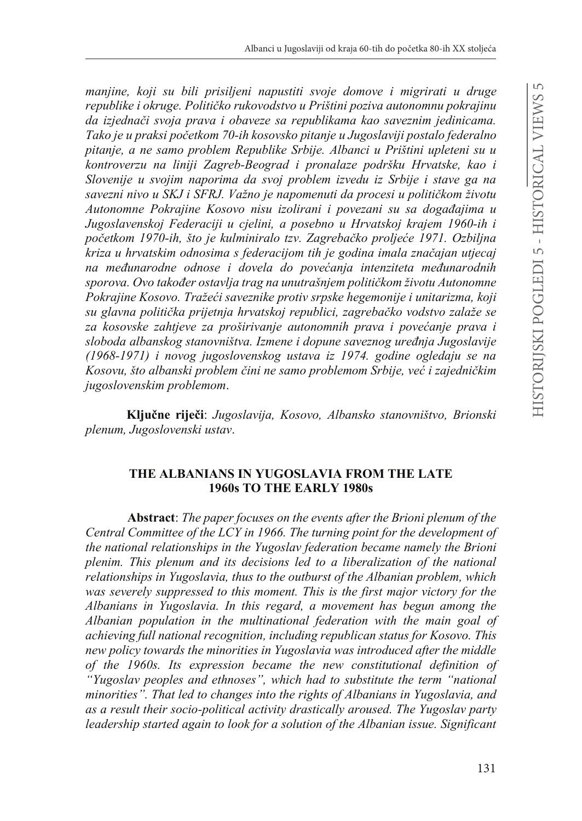*manjine, koji su bili prisiljeni napustiti svoje domove i migrirati u druge*  republike i okruge. Političko rukovodstvo u Prištini poziva autonomnu pokrajinu da izjednači svoja prava i obaveze sa republikama kao saveznim jedinicama. *7DNRMHXSUDNVLSRþHtkom 70-ih kosovsko pitanje u Jugoslaviji postalo federalno pitanje, a ne samo problem Republike Srbije. Albanci u Prištini upleteni su u kontroverzu na liniji Zagreb-Beograd i pronalaze podršku Hrvatske, kao i Slovenije u svojim naporima da svoj problem izvedu iz Srbije i stave ga na*  savezni nivo u SKJ i SFRJ. Važno je napomenuti da procesi u političkom životu Autonomne Pokrajine Kosovo nisu izolirani i povezani su sa događajima u *Jugoslavenskoj Federaciji u cjelini, a posebno u Hrvatskoj krajem 1960-ih i*  početkom 1970-ih, što je kulminiralo tzv. Zagrebačko proljeće 1971. Ozbiljna *kriza u hrvatskim odnosima s federacijom tih je godina imala značajan utjecaj* na međunarodne odnose i dovela do povećanja intenziteta međunarodnih *VSRURYD2YRWDNRÿHr ostavlja trDJQDXQXWUDãQMHPSROLWLþNRPåLYRWX\$XWRQRPQH* Pokrajine Kosovo. Tražeći saveznike protiv srpske hegemonije i unitarizma, koji su glavna politička prijetnja hrvatskoj republici, zagrebačko vodstvo zalaže se za kosovske zahtjeve za proširivanje autonomnih prava i povećanje prava i  $sloboda$  albanskog stanovništva. Izmene i dopune saveznog uređnja Jugoslavije *(1968-1971) i novog jugoslovenskog ustava iz 1974. godine ogledaju se na*  Kosovu, što albanski problem čini ne samo problemom Srbije, već i zajedničkim *jugoslovenskim problemom*.

**.OMXþQH ULMHþL**: *Jugoslavija, Kosovo, Albansko stanovništvo, Brionski plenum, Jugoslovenski ustav*.

#### **THE ALBANIANS IN YUGOSLAVIA FROM THE LATE 1960s TO THE EARLY 1980s**

**Abstract**: *The paper focuses on the events after the Brioni plenum of the Central Committee of the LCY in 1966. The turning point for the development of the national relationships in the Yugoslav federation became namely the Brioni plenim. This plenum and its decisions led to a liberalization of the national relationships in Yugoslavia, thus to the outburst of the Albanian problem, which was severely suppressed to this moment. This is the first major victory for the Albanians in Yugoslavia. In this regard, a movement has begun among the Albanian population in the multinational federation with the main goal of achieving full national recognition, including republican status for Kosovo. This new policy towards the minorities in Yugoslavia was introduced after the middle of the 1960s. Its expression became the new constitutional definition of "Yugoslav peoples and ethnoses", which had to substitute the term "national minorities". That led to changes into the rights of Albanians in Yugoslavia, and as a result their socio-political activity drastically aroused. The Yugoslav party leadership started again to look for a solution of the Albanian issue. Significant*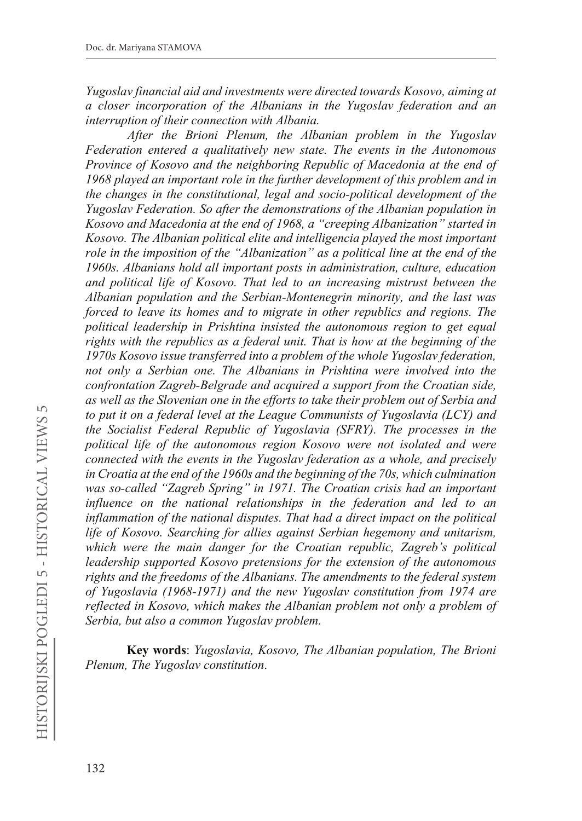*Yugoslav financial aid and investments were directed towards Kosovo, aiming at a closer incorporation of the Albanians in the Yugoslav federation and an interruption of their connection with Albania.*

*After the Brioni Plenum, the Albanian problem in the Yugoslav Federation entered a qualitatively new state. The events in the Autonomous Province of Kosovo and the neighboring Republic of Macedonia at the end of 1968 played an important role in the further development of this problem and in the changes in the constitutional, legal and socio-political development of the Yugoslav Federation. So after the demonstrations of the Albanian population in Kosovo and Macedonia at the end of 1968, a "creeping Albanization" started in Kosovo. The Albanian political elite and intelligencia played the most important role in the imposition of the "Albanization" as a political line at the end of the 1960s. Albanians hold all important posts in administration, culture, education and political life of Kosovo. That led to an increasing mistrust between the Albanian population and the Serbian-Montenegrin minority, and the last was forced to leave its homes and to migrate in other republics and regions. The political leadership in Prishtina insisted the autonomous region to get equal rights with the republics as a federal unit. That is how at the beginning of the 1970s Kosovo issue transferred into a problem of the whole Yugoslav federation, not only a Serbian one. The Albanians in Prishtina were involved into the confrontation Zagreb-Belgrade and acquired a support from the Croatian side, as well as the Slovenian one in the efforts to take their problem out of Serbia and to put it on a federal level at the League Communists of Yugoslavia (LCY) and the Socialist Federal Republic of Yugoslavia (SFRY). The processes in the political life of the autonomous region Kosovo were not isolated and were connected with the events in the Yugoslav federation as a whole, and precisely in Croatia at the end of the 1960s and the beginning of the 70s, which culmination was so-called "Zagreb Spring" in 1971. The Croatian crisis had an important influence on the national relationships in the federation and led to an inflammation of the national disputes. That had a direct impact on the political life of Kosovo. Searching for allies against Serbian hegemony and unitarism, which were the main danger for the Croatian republic, Zagreb's political leadership supported Kosovo pretensions for the extension of the autonomous rights and the freedoms of the Albanians. The amendments to the federal system of Yugoslavia (1968-1971) and the new Yugoslav constitution from 1974 are reflected in Kosovo, which makes the Albanian problem not only a problem of Serbia, but also a common Yugoslav problem.*

**Key words**: *Yugoslavia, Kosovo, The Albanian population, The Brioni Plenum, The Yugoslav constitution*.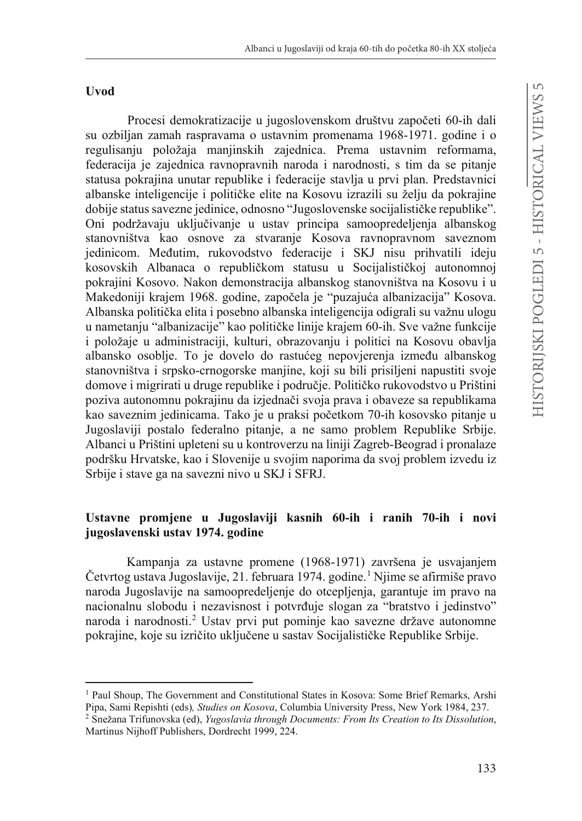#### **Uvod**

Procesi demokratizacije u jugoslovenskom društvu započeti 60-ih dali su ozbiljan zamah raspravama o ustavnim promenama 1968-1971. godine i o regulisanju položaja manjinskih zajednica. Prema ustavnim reformama, federacija je zajednica ravnopravnih naroda i narodnosti, s tim da se pitanje statusa pokrajina unutar republike i federacije stavlja u prvi plan. Predstavnici albanske inteligencije i političke elite na Kosovu izrazili su želju da pokrajine dobije status savezne jedinice, odnosno "Jugoslovenske socijalističke republike". Oni podržavaju uključivanje u ustav principa samoopredeljenja albanskog stanovništva kao osnove za stvaranje Kosova ravnopravnom saveznom jedinicom. Međutim, rukovodstvo federacije i SKJ nisu prihvatili ideju kosovskih Albanaca o republičkom statusu u Socijalističkoj autonomnoj pokrajini Kosovo. Nakon demonstracija albanskog stanovništva na Kosovu i u Makedoniji krajem 1968. godine, započela je "puzajuća albanizacija" Kosova. Albanska politička elita i posebno albanska inteligencija odigrali su važnu ulogu u nametanju "albanizacije" kao političke linije krajem 60-ih. Sve važne funkcije i položaje u administraciji, kulturi, obrazovanju i politici na Kosovu obavlja albansko osoblje. To je dovelo do rastućeg nepovjerenja između albanskog stanovništva i srpsko-crnogorske manjine, koji su bili prisiljeni napustiti svoje domove i migrirati u druge republike i područje. Političko rukovodstvo u Prištini poziva autonomnu pokrajinu da izjednači svoja prava i obaveze sa republikama kao saveznim jedinicama. Tako je u praksi početkom 70-ih kosovsko pitanje u Jugoslaviji postalo federalno pitanje, a ne samo problem Republike Srbije. Albanci u Prištini upleteni su u kontroverzu na liniji Zagreb-Beograd i pronalaze podršku Hrvatske, kao i Slovenije u svojim naporima da svoj problem izvedu iz Srbije i stave ga na savezni nivo u SKJ i SFRJ.

## **Ustavne promjene u Jugoslaviji kasnih 60-ih i ranih 70-ih i novi jugoslavenski ustav 1974. godine**

Kampanja za ustavne promene (1968-1971) završena je usvajanjem Četvrtog ustava Jugoslavije, 21. februara 1974. godine.<sup>1</sup> Njime se afirmiše pravo naroda Jugoslavije na samoopredeljenje do otcepljenja, garantuje im pravo na nacionalnu slobodu i nezavisnost i potvrđuje slogan za "bratstvo i jedinstvo" naroda i narodnosti.2 Ustav prvi put pominje kao savezne države autonomne pokrajine, koje su izričito uključene u sastav Socijalističke Republike Srbije.

<sup>1</sup> Paul Shoup, The Government and Constitutional States in Kosova: Some Brief Remarks, Arshi Pipa, Sami Repishti (eds)*, Studies on Kosova*, Columbia University Press, New York 1984, 237. 2 Snežana Trifunovska (ed), *Yugoslavia through Documents: From Its Creation to Its Dissolution*,

Martinus Nijhoff Publishers, Dordrecht 1999, 224.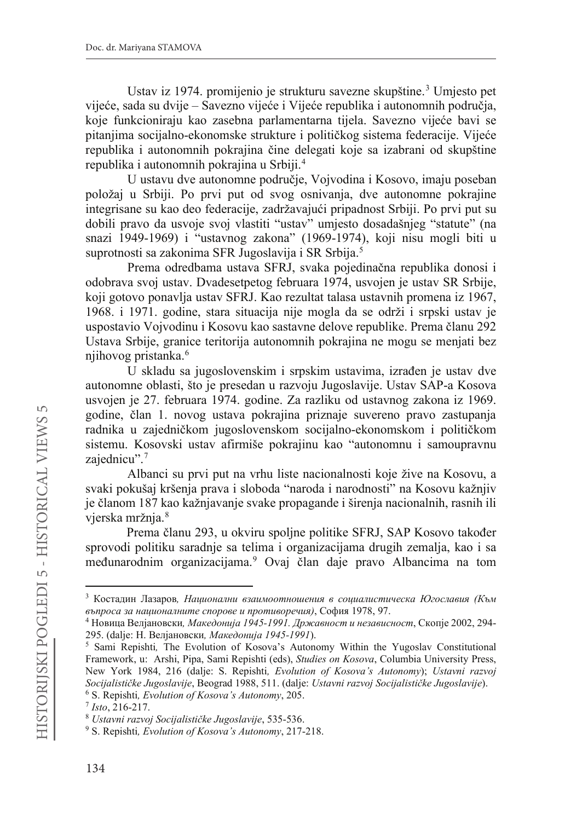Ustav iz 1974. promijenio je strukturu savezne skupštine.<sup>3</sup> Umjesto pet vijeće, sada su dvije – Savezno vijeće i Vijeće republika i autonomnih područja, koje funkcioniraju kao zasebna parlamentarna tijela. Savezno vijeće bavi se pitanjima socijalno-ekonomske strukture i političkog sistema federacije. Vijeće republika i autonomnih pokrajina čine delegati koje sa izabrani od skupštine republika i autonomnih pokrajina u Srbiji.4

U ustavu dve autonomne područje, Vojvodina i Kosovo, imaju poseban položaj u Srbiji. Po prvi put od svog osnivanja, dve autonomne pokrajine integrisane su kao deo federacije, zadržavajući pripadnost Srbiji. Po prvi put su dobili pravo da usvoje svoj vlastiti "ustav" umjesto dosadašnjeg "statute" (na snazi 1949-1969) i "ustavnog zakona" (1969-1974), koji nisu mogli biti u suprotnosti sa zakonima SFR Jugoslavija i SR Srbija.5

Prema odredbama ustava SFRJ, svaka pojedinačna republika donosi i odobrava svoj ustav. Dvadesetpetog februara 1974, usvojen je ustav SR Srbije, koji gotovo ponavlja ustav SFRJ. Kao rezultat talasa ustavnih promena iz 1967, 1968. i 1971. godine, stara situacija nije mogla da se održi i srpski ustav je uspostavio Vojvodinu i Kosovu kao sastavne delove republike. Prema članu 292 Ustava Srbije, granice teritorija autonomnih pokrajina ne mogu se menjati bez njihovog pristanka.6

U skladu sa jugoslovenskim i srpskim ustavima, izrađen je ustav dve autonomne oblasti, što je presedan u razvoju Jugoslavije. Ustav SAP-a Kosova usvojen je 27. februara 1974. godine. Za razliku od ustavnog zakona iz 1969. godine, član 1. novog ustava pokrajina priznaje suvereno pravo zastupanja radnika u zajedničkom jugoslovenskom socijalno-ekonomskom i političkom sistemu. Kosovski ustav afirmiše pokrajinu kao "autonomnu i samoupravnu zajednicu".<sup>7</sup>

Albanci su prvi put na vrhu liste nacionalnosti koje žive na Kosovu, a svaki pokušaj kršenja prava i sloboda "naroda i narodnosti" na Kosovu kažnjiv je članom 187 kao kažnjavanje svake propagande i širenja nacionalnih, rasnih ili vjerska mržnja.<sup>8</sup>

Prema članu 293, u okviru spoljne politike SFRJ, SAP Kosovo također sprovodi politiku saradnje sa telima i organizacijama drugih zemalja, kao i sa međunarodnim organizacijama.<sup>9</sup> Ovaj član daje pravo Albancima na tom

<sup>&</sup>lt;sup>3</sup> Костадин Лазаров, Национални взаимоотношения в социалистическа Югославия (Към  $\varepsilon$ ъпроса за националните спорове и противоречия), София 1978, 97.

<sup>&</sup>lt;sup>4</sup> Новица Велјановски, *Македонија 1945-1991. Државност и независност*, Скопје 2002, 294-295. (dalje: Н. Велјановски, *Македонија 1945-1991*).

<sup>&</sup>lt;sup>5</sup> Sami Repishti, The Evolution of Kosova's Autonomy Within the Yugoslav Constitutional Framework, u: Arshi, Pipa, Sami Repishti (eds), *Studies on Kosova*, Columbia University Press, New York 1984, 216 (dalje: S. Repishti*, Evolution of Kosova's Autonomy*); *Ustavni razvoj 6 Socijalističke Jugoslavije*, Beograd 1988, 511. (dalje: *Ustavni razvoj Socijalističke Jugoslavije*). <sup>6</sup> S. Repishti, *Evolution of Kosova's Autonomy*, 205.

<sup>6</sup> S. Repishti*, Evolution of Kosova's Autonomy*, 205. 7 *Isto*, 216-217. 8 *Ustavni rD]YRM6RFLMDOLVWLþNH-XJRVODYLMH*, 535-536. 9 S. Repishti*, Evolution of Kosova's Autonomy*, 217-218.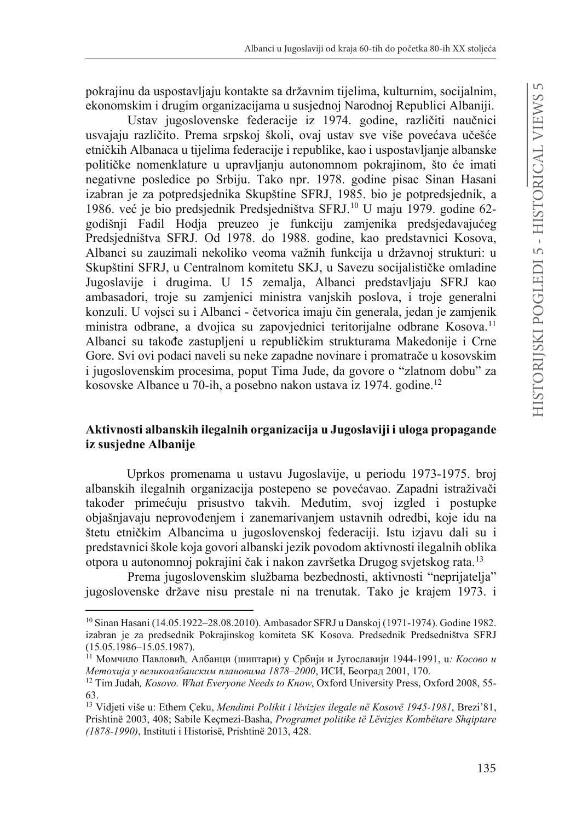pokrajinu da uspostavljaju kontakte sa državnim tijelima, kulturnim, socijalnim, ekonomskim i drugim organizacijama u susjednoj Narodnoj Republici Albaniji.

Ustav jugoslovenske federacije iz 1974. godine, različiti naučnici usvajaju različito. Prema srpskoj školi, ovaj ustav sve više povećava učešće etničkih Albanaca u tijelima federacije i republike, kao i uspostavljanje albanske političke nomenklature u upravljanju autonomnom pokrajinom, što će imati negativne posledice po Srbiju. Tako npr. 1978. godine pisac Sinan Hasani izabran je za potpredsjednika Skupštine SFRJ, 1985. bio je potpredsjednik, a 1986. već je bio predsjednik Predsjedništva SFRJ.<sup>10</sup> U maju 1979. godine 62godišnji Fadil Hodja preuzeo je funkciju zamjenika predsjedavajućeg Predsjedništva SFRJ. Od 1978. do 1988. godine, kao predstavnici Kosova, Albanci su zauzimali nekoliko veoma važnih funkcija u državnoj strukturi: u Skupštini SFRJ, u Centralnom komitetu SKJ, u Savezu socijalističke omladine Jugoslavije i drugima. U 15 zemalja, Albanci predstavljaju SFRJ kao ambasadori, troje su zamjenici ministra vanjskih poslova, i troje generalni konzuli. U vojsci su i Albanci - četvorica imaju čin generala, jedan je zamjenik ministra odbrane, a dvojica su zapovjednici teritorijalne odbrane Kosova.<sup>11</sup> Albanci su takođe zastupljeni u republičkim strukturama Makedonije i Crne Gore. Svi ovi podaci naveli su neke zapadne novinare i promatrače u kosovskim i jugoslovenskim procesima, poput Tima Jude, da govore o "zlatnom dobu" za kosovske Albance u 70-ih, a posebno nakon ustava iz 1974. godine.<sup>12</sup>

### **Aktivnosti albanskih ilegalnih organizacija u Jugoslaviji i uloga propagande iz susjedne Albanije**

Uprkos promenama u ustavu Jugoslavije, u periodu 1973-1975. broj albanskih ilegalnih organizacija postepeno se povećavao. Zapadni istraživači također primećuju prisustvo takvih. Međutim, svoj izgled i postupke objašnjavaju neprovođenjem i zanemarivanjem ustavnih odredbi, koje idu na štetu etničkim Albancima u jugoslovenskoj federaciji. Istu izjavu dali su i predstavnici škole koja govori albanski jezik povodom aktivnosti ilegalnih oblika otpora u autonomnoj pokrajini čak i nakon završetka Drugog svjetskog rata. <sup>13</sup>

Prema jugoslovenskim službama bezbednosti, aktivnosti "neprijatelja" jugoslovenske države nisu prestale ni na trenutak. Tako je krajem 1973. i

<sup>10</sup> Sinan Hasani (14.05.1922–28.08.2010). Ambasador SFRJ u Danskoj (1971-1974). Godine 1982. izabran je za predsednik Pokrajinskog komiteta SK Kosova. Predsednik Predsedništva SFRJ (15.05.1986–15.05.1987).

<sup>&</sup>lt;sup>11</sup> Момчило Павловић, Албанци (шиптари) у Србији и Југославији 1944-1991, u*: Косово и*<br>*Метохија у великоалбанским плановима 1878–2000*, ИСИ, Београд 2001, 170.

<sup>&</sup>lt;sup>12</sup> Tim Judah, *Kosovo. What Everyone Needs to Know*, Oxford University Press, Oxford 2008, 55-63.

<sup>13</sup> Vidjeti više u: Ethem Çeku, *Mendimi Polikit i lëvizjes ilegale në Kosovë 1945-1981*, Brezi'81, Prishtinë 2003, 408; Sabile Keçmezi-Basha, *Programet politike të Lëvizjes Kombëtare Shqiptare (1878-1990)*, Instituti i Historisë, Prishtinë 2013, 428.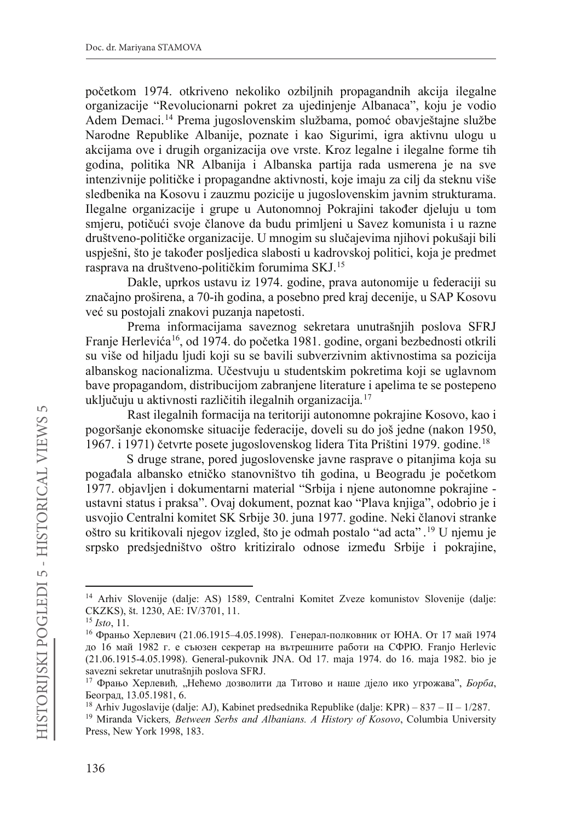početkom 1974. otkriveno nekoliko ozbilinih propagandnih akcija ilegalne organizacije "Revolucionarni pokret za ujedinjenje Albanaca", koju je vodio Adem Demaci.<sup>14</sup> Prema jugoslovenskim službama, pomoć obavještajne službe Narodne Republike Albanije, poznate i kao Sigurimi, igra aktivnu ulogu u akcijama ove i drugih organizacija ove vrste. Kroz legalne i ilegalne forme tih godina, politika NR Albanija i Albanska partija rada usmerena je na sve intenzivnije političke i propagandne aktivnosti, koje imaju za cilj da steknu više sledbenika na Kosovu i zauzmu pozicije u jugoslovenskim javnim strukturama. Ilegalne organizacije i grupe u Autonomnoj Pokrajini također djeluju u tom smjeru, potičući svoje članove da budu primljeni u Savez komunista i u razne društveno-političke organizacije. U mnogim su slučajevima njihovi pokušaji bili uspješni, što je također posljedica slabosti u kadrovskoj politici, koja je predmet rasprava na društveno-političkim forumima SKJ.<sup>15</sup>

Dakle, uprkos ustavu iz 1974. godine, prava autonomije u federaciji su značajno proširena, a 70-ih godina, a posebno pred kraj decenije, u SAP Kosovu već su postojali znakovi puzanja napetosti.

Prema informacijama saveznog sekretara unutrašnjih poslova SFRJ Franje Herlevića<sup>16</sup>, od 1974. do početka 1981. godine, organi bezbednosti otkrili su više od hiljadu ljudi koji su se bavili subverzivnim aktivnostima sa pozicija albanskog nacionalizma. Učestvuju u studentskim pokretima koji se uglavnom bave propagandom, distribucijom zabranjene literature i apelima te se postepeno uključuju u aktivnosti različitih ilegalnih organizacija. <sup>17</sup>

Rast ilegalnih formacija na teritoriji autonomne pokrajine Kosovo, kao i pogoršanje ekonomske situacije federacije, doveli su do još jedne (nakon 1950, 1967. i 1971) četvrte posete jugoslovenskog lidera Tita Prištini 1979. godine.<sup>18</sup>

S druge strane, pored jugoslovenske javne rasprave o pitanjima koja su pogađala albansko etničko stanovništvo tih godina, u Beogradu je početkom 1977. objavljen i dokumentarni material "Srbija i njene autonomne pokrajine ustavni status i praksa". Ovaj dokument, poznat kao "Plava knjiga", odobrio je i usvojio Centralni komitet SK Srbije 30. juna 1977. godine. Neki članovi stranke oštro su kritikovali njegov izgled, što je odmah postalo "ad acta" . <sup>19</sup> U njemu je srpsko predsjedništvo oštro kritiziralo odnose između Srbije i pokrajine,

<sup>14</sup> Arhiv Slovenije (dalje: AS) 1589, Centralni Komitet Zveze komunistov Slovenije (dalje: CKZKS), št. 1230, AE: IV/3701, 11.<br><sup>15</sup> Isto, 11.

<sup>&</sup>lt;sup>16</sup> Франьо Херлевич (21.06.1915–4.05.1998). Генерал-полковник от ЮНА. От 17 май 1974 до 16 май 1982 г. е съюзен секретар на вътрешните работи на СФРЮ. Franjo Herlevic (21.06.1915-4.05.1998). General-pukovnik JNA. Od 17. maja 1974. do 16. maja 1982. bio je savezni sekretar unutrašnjih poslova SFRJ.

<sup>&</sup>lt;sup>17</sup> Фрањо Херлевић, "Нећемо дозволити да Титово и наше дјело ико угрожава", *Борба*, Београд, 13.05.1981, 6.

<sup>&</sup>lt;sup>18</sup> Arhiv Jugoslavije (dalje: AJ), Kabinet predsednika Republike (dalje: KPR) – 837 – II – 1/287.

<sup>19</sup> Miranda Vickers*, Between Serbs and Albanians. A History of Kosovo*, Columbia University Press, New York 1998, 183.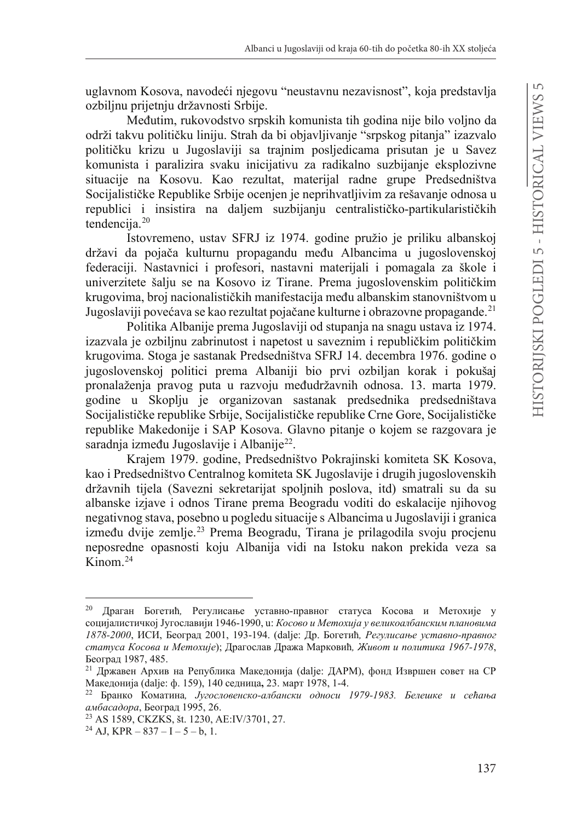uglavnom Kosova, navodeći njegovu "neustavnu nezavisnost", koja predstavlja ozbiljnu prijetnju državnosti Srbije.

Međutim, rukovodstvo srpskih komunista tih godina nije bilo voljno da održi takvu političku liniju. Strah da bi objavljivanje "srpskog pitanja" izazvalo političku krizu u Jugoslaviji sa trajnim posljedicama prisutan je u Savez komunista i paralizira svaku inicijativu za radikalno suzbijanje eksplozivne situacije na Kosovu. Kao rezultat, materijal radne grupe Predsedništva Socijalističke Republike Srbije ocenjen je neprihvatljivim za rešavanje odnosa u republici i insistira na daljem suzbijanju centralističko-partikularističkih tendencija.<sup>20</sup>

Istovremeno, ustav SFRJ iz 1974. godine pružio je priliku albanskoj državi da pojača kulturnu propagandu među Albancima u jugoslovenskoj federaciji. Nastavnici i profesori, nastavni materijali i pomagala za škole i univerzitete šalju se na Kosovo iz Tirane. Prema jugoslovenskim političkim krugovima, broj nacionalističkih manifestacija među albanskim stanovništvom u Jugoslaviji povećava se kao rezultat pojačane kulturne i obrazovne propagande.<sup>21</sup>

Politika Albanije prema Jugoslaviji od stupanja na snagu ustava iz 1974. izazvala je ozbiljnu zabrinutost i napetost u saveznim i republičkim političkim krugovima. Stoga je sastanak Predsedništva SFRJ 14. decembra 1976. godine o jugoslovenskoj politici prema Albaniji bio prvi ozbiljan korak i pokušaj pronalaženja pravog puta u razvoju međudržavnih odnosa. 13. marta 1979. godine u Skoplju je organizovan sastanak predsednika predsedništava Socijalističke republike Srbije, Socijalističke republike Crne Gore, Socijalističke republike Makedonije i SAP Kosova. Glavno pitanje o kojem se razgovara je saradnja između Jugoslavije i Albanije<sup>22</sup>.

Krajem 1979. godine, Predsedništvo Pokrajinski komiteta SK Kosova, kao i Predsedništvo Centralnog komiteta SK Jugoslavije i drugih jugoslovenskih državnih tijela (Savezni sekretarijat spoljnih poslova, itd) smatrali su da su albanske izjave i odnos Tirane prema Beogradu voditi do eskalacije njihovog negativnog stava, posebno u pogledu situacije s Albancima u Jugoslaviji i granica između dvije zemlje.<sup>23</sup> Prema Beogradu, Tirana je prilagodila svoju procjenu neposredne opasnosti koju Albanija vidi na Istoku nakon prekida veza sa Kinom $^{24}$ 

<sup>&</sup>lt;sup>20</sup> Драган Богетић, Регулисање уставно-правног статуса Косова и Метохије у социјалистичкој Југославији 1946-1990, u: *Косово и Метохија у великоалбанским плановима 1878-2000*, ИСИ, Београд 2001, 193-194. (dalje: Др. Богетић, Регулисање уставно-правног статуса Косова и Метохије); Драгослав Дража Марковић, Живот и политика 1967-1978, Београд 1987, 485.

<sup>&</sup>lt;sup>21</sup> Државен Архив на Република Македонија (dalje: ДАРМ), фонд Извршен совет на СР Македонија (dalje: ф. 159), 140 седница, 23. март 1978, 1-4.

<sup>&</sup>lt;sup>22</sup> Бранко Коматина, *Југословенско-албански односи 1979-1983*. Белешке и сећања амбасадора, Београд 1995, 26.

<sup>&</sup>lt;sup>23</sup> AS 1589, CKZKS, št. 1230, AE:IV/3701, 27.<br><sup>24</sup> AJ, KPR – 837 – I – 5 – b, 1.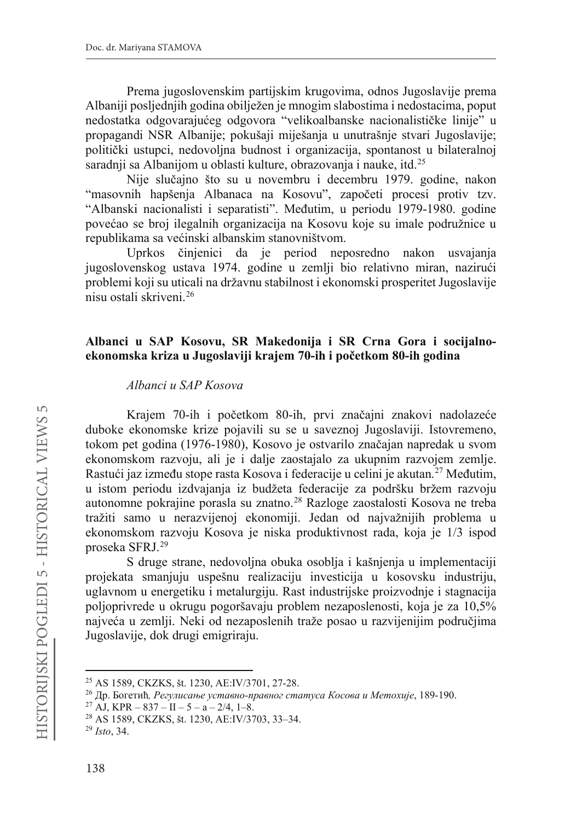Prema jugoslovenskim partijskim krugovima, odnos Jugoslavije prema Albaniji posljednjih godina obilježen je mnogim slabostima i nedostacima, poput nedostatka odgovarajućeg odgovora "velikoalbanske nacionalističke linije" u propagandi NSR Albanije; pokušaji miješanja u unutrašnje stvari Jugoslavije; politički ustupci, nedovolina budnost i organizacija, spontanost u bilateralnoj saradnji sa Albanijom u oblasti kulture, obrazovanja i nauke, itd.<sup>25</sup>

Nije slučajno što su u novembru i decembru 1979. godine, nakon "masovnih hapšenja Albanaca na Kosovu", započeti procesi protiv tzv. "Albanski nacionalisti i separatisti". Međutim, u periodu 1979-1980. godine povećao se broj ilegalnih organizacija na Kosovu koje su imale podružnice u republikama sa većinski albanskim stanovništvom.

Uprkos činjenici da je period neposredno nakon usvajanja jugoslovenskog ustava 1974. godine u zemlji bio relativno miran, nazirući problemi koji su uticali na državnu stabilnost i ekonomski prosperitet Jugoslavije nisu ostali skriveni.26

### **Albanci u SAP Kosovu, SR Makedonija i SR Crna Gora i socijalnoekonomska kriza u Jugoslaviji krajem 70-LKLSRþHWNRP 80-ih godina**

### *Albanci u SAP Kosova*

Krajem 70-ih i početkom 80-ih, prvi značajni znakovi nadolazeće duboke ekonomske krize pojavili su se u saveznoj Jugoslaviji. Istovremeno, tokom pet godina (1976-1980), Kosovo je ostvarilo značajan napredak u svom ekonomskom razvoju, ali je i dalje zaostajalo za ukupnim razvojem zemlje. Rastući jaz između stope rasta Kosova i federacije u celini je akutan.<sup>27</sup> Međutim, u istom periodu izdvajanja iz budžeta federacije za podršku bržem razvoju autonomne pokrajine porasla su znatno.28 Razloge zaostalosti Kosova ne treba tražiti samo u nerazvijenoj ekonomiji. Jedan od najvažnijih problema u ekonomskom razvoju Kosova je niska produktivnost rada, koja je 1/3 ispod proseka SFRJ.29

S druge strane, nedovoljna obuka osoblja i kašnjenja u implementaciji projekata smanjuju uspešnu realizaciju investicija u kosovsku industriju, uglavnom u energetiku i metalurgiju. Rast industrijske proizvodnje i stagnacija poljoprivrede u okrugu pogoršavaju problem nezaposlenosti, koja je za 10,5% najveća u zemlji. Neki od nezaposlenih traže posao u razvijenijim područjima Jugoslavije, dok drugi emigriraju.

<sup>&</sup>lt;sup>25</sup> AS 1589, CKZKS, št. 1230, AE:IV/3701, 27-28.<br><sup>26</sup> Др. Богетић, *Регулисање уставно-правног статуса Косова и Метохије*, 189-190.<br><sup>27</sup> AJ, KPR – 837 – II – 5 – a – 2/4, 1–8.<br><sup>28</sup> AS 1589, CKZKS, št. 1230, AE:IV/3703, 3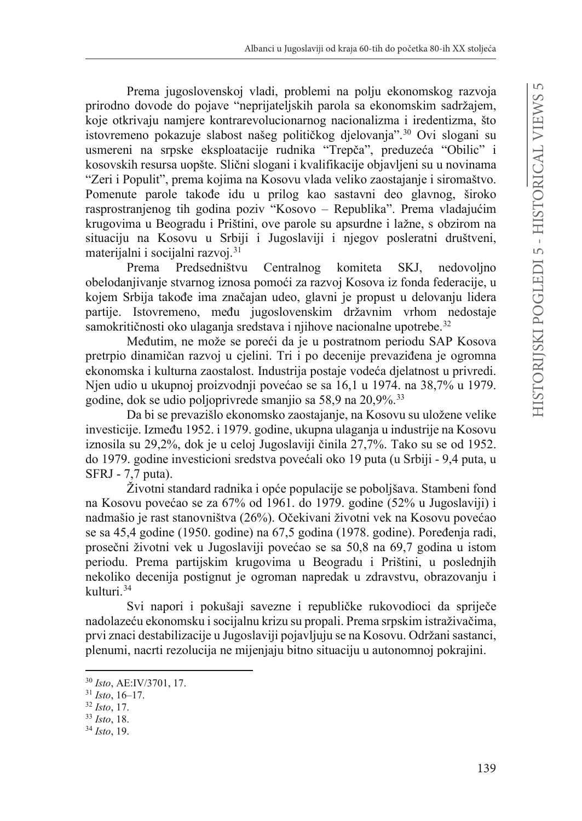Prema jugoslovenskoj vladi, problemi na polju ekonomskog razvoja prirodno dovode do pojave "neprijateljskih parola sa ekonomskim sadržajem, koje otkrivaju namjere kontrarevolucionarnog nacionalizma i iredentizma, što istovremeno pokazuje slabost našeg političkog djelovanja".<sup>30</sup> Ovi slogani su usmereni na srpske eksploatacije rudnika "Trepča", preduzeća "Obilic" i kosovskih resursa uopšte. Slični slogani i kvalifikacije objavljeni su u novinama "Zeri i Populit", prema kojima na Kosovu vlada veliko zaostajanje i siromaštvo. Pomenute parole takođe idu u prilog kao sastavni deo glavnog, široko rasprostranjenog tih godina poziv "Kosovo – Republika". Prema vladajućim krugovima u Beogradu i Prištini, ove parole su apsurdne i lažne, s obzirom na situaciju na Kosovu u Srbiji i Jugoslaviji i njegov posleratni društveni, materijalni i socijalni razvoj.31

Prema Predsedništvu Centralnog komiteta SKJ, nedovoljno obelodanjivanje stvarnog iznosa pomoći za razvoj Kosova iz fonda federacije, u kojem Srbija takođe ima značajan udeo, glavni je propust u delovanju lidera partije. Istovremeno, među jugoslovenskim državnim vrhom nedostaje samokritičnosti oko ulaganja sredstava i njihove nacionalne upotrebe.<sup>32</sup>

Međutim, ne može se poreći da je u postratnom periodu SAP Kosova pretrpio dinamičan razvoj u cjelini. Tri i po decenije prevaziđena je ogromna ekonomska i kulturna zaostalost. Industrija postaje vodeća djelatnost u privredi. Njen udio u ukupnoj proizvodnji povećao se sa 16,1 u 1974. na 38,7% u 1979. godine, dok se udio poljoprivrede smanjio sa 58,9 na 20,9%.33

Da bi se prevazišlo ekonomsko zaostajanje, na Kosovu su uložene velike investicije. Između 1952. i 1979. godine, ukupna ulaganja u industrije na Kosovu iznosila su 29.2%, dok je u celoj Jugoslaviji činila 27.7%. Tako su se od 1952. do 1979. godine investicioni sredstva povećali oko 19 puta (u Srbiji - 9,4 puta, u SFRJ - 7,7 puta).

Životni standard radnika i opće populacije se poboljšava. Stambeni fond na Kosovu povećao se za 67% od 1961. do 1979. godine (52% u Jugoslaviji) i nadmašio je rast stanovništva (26%). Očekivani životni vek na Kosovu povećao se sa 45,4 godine (1950. godine) na 67,5 godina (1978. godine). Poređenja radi, prosečni životni vek u Jugoslaviji povećao se sa 50,8 na 69,7 godina u istom periodu. Prema partijskim krugovima u Beogradu i Prištini, u poslednjih nekoliko decenija postignut je ogroman napredak u zdravstvu, obrazovanju i kulturi.34

Svi napori i pokušaji savezne i republičke rukovodioci da spriječe nadolazeću ekonomsku i socijalnu krizu su propali. Prema srpskim istraživačima, prvi znaci destabilizacije u Jugoslaviji pojavljuju se na Kosovu. Održani sastanci, plenumi, nacrti rezolucija ne mijenjaju bitno situaciju u autonomnoj pokrajini.

<sup>30</sup> *Isto*, AE:IV/3701, 17. 31 *Isto*, 16–17. 32 *Isto*, 17. 33 *Isto*, 18. 34 *Isto*, 19.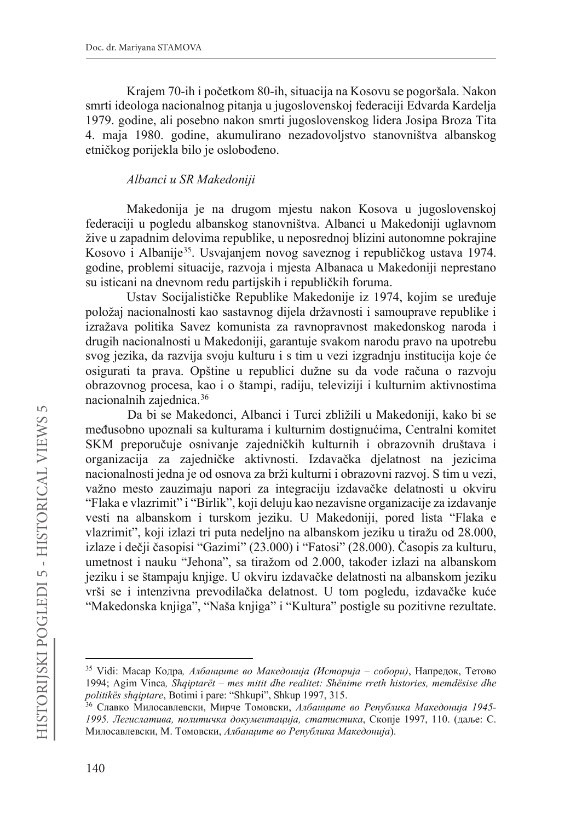Krajem 70-ih i početkom 80-ih, situacija na Kosovu se pogoršala. Nakon smrti ideologa nacionalnog pitanja u jugoslovenskoj federaciji Edvarda Kardelja 1979. godine, ali posebno nakon smrti jugoslovenskog lidera Josipa Broza Tita 4. maja 1980. godine, akumulirano nezadovoljstvo stanovništva albanskog etničkog porijekla bilo je oslobođeno.

#### *Albanci u SR Makedoniji*

Makedonija je na drugom mjestu nakon Kosova u jugoslovenskoj federaciji u pogledu albanskog stanovništva. Albanci u Makedoniji uglavnom žive u zapadnim delovima republike, u neposrednoj blizini autonomne pokrajine Kosovo i Albanije<sup>35</sup>. Usvajanjem novog saveznog i republičkog ustava 1974. godine, problemi situacije, razvoja i mjesta Albanaca u Makedoniji neprestano su isticani na dnevnom redu partijskih i republičkih foruma.

Ustav Socijalističke Republike Makedonije iz 1974, kojim se uređuje položaj nacionalnosti kao sastavnog dijela državnosti i samouprave republike i izražava politika Savez komunista za ravnopravnost makedonskog naroda i drugih nacionalnosti u Makedoniji, garantuje svakom narodu pravo na upotrebu svog jezika, da razvija svoju kulturu i s tim u vezi izgradnju institucija koje će osigurati ta prava. Opštine u republici dužne su da vode računa o razvoju obrazovnog procesa, kao i o štampi, radiju, televiziji i kulturnim aktivnostima nacionalnih zajednica.36

Da bi se Makedonci, Albanci i Turci zbližili u Makedoniji, kako bi se međusobno upoznali sa kulturama i kulturnim dostignućima, Centralni komitet SKM preporučuje osnivanje zajedničkih kulturnih i obrazovnih društava i organizacija za zajedničke aktivnosti. Izdavačka djelatnost na jezicima nacionalnosti jedna je od osnova za brži kulturni i obrazovni razvoj. S tim u vezi, važno mesto zauzimaju napori za integraciju izdavačke delatnosti u okviru "Flaka e vlazrimit" i "Birlik", koji deluju kao nezavisne organizacije za izdavanje vesti na albanskom i turskom jeziku. U Makedoniji, pored lista "Flaka e vlazrimit", koji izlazi tri puta nedeljno na albanskom jeziku u tiražu od 28.000, izlaze i dečji časopisi "Gazimi" (23.000) i "Fatosi" (28.000). Casopis za kulturu, umetnost i nauku "Jehona", sa tiražom od 2.000, također izlazi na albanskom jeziku i se štampaju knjige. U okviru izdavačke delatnosti na albanskom jeziku vrši se i intenzivna prevodilačka delatnost. U tom pogledu, izdavačke kuće "Makedonska knjiga", "Naša knjiga" i "Kultura" postigle su pozitivne rezultate.

<sup>&</sup>lt;sup>35</sup> Vidi: Масар Кодра, Албанците во Македонија (Историја – собори), Напредок, Тетово 1994; Agim Vinca*, Shqiptarët – mes mitit dhe realitet: Shënime rreth histories, memdësise dhe politikës shqiptare*, Botimi i pare: "Shkupi", Shkup 1997, 315.

<sup>&</sup>lt;sup>36</sup> Славко Милосавлевски, Мирче Томовски, Албанците во Република Македонија 1945-*1995*. Легислатива, политичка документација, статистика, Скопје 1997, 110. (даље: С. Милосавлевски, М. Томовски, Албанците во Република Македонија).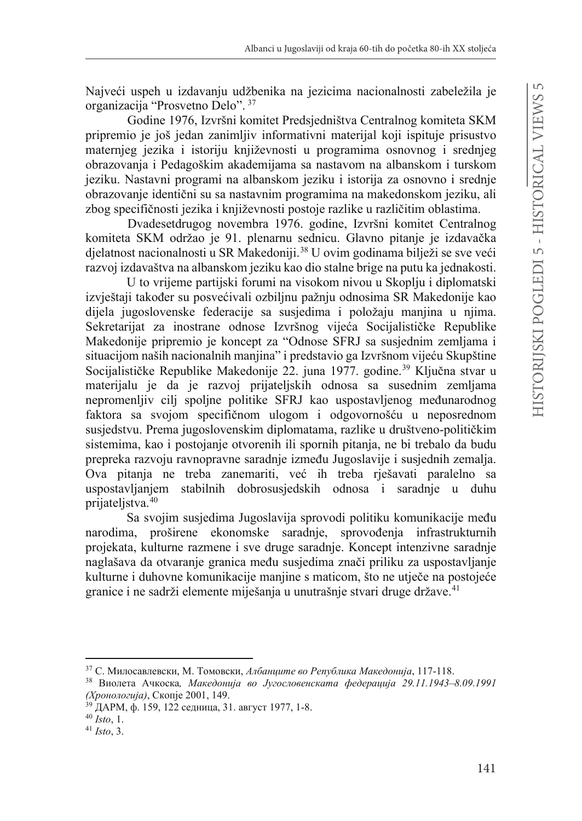Naiveći uspeh u izdavanju udžbenika na jezicima nacionalnosti zabeležila je organizacija "Prosvetno Delo". <sup>37</sup>

Godine 1976, Izvršni komitet Predsjedništva Centralnog komiteta SKM pripremio je još jedan zanimljiv informativni materijal koji ispituje prisustvo maternjeg jezika i istoriju književnosti u programima osnovnog i srednjeg obrazovanja i Pedagoškim akademijama sa nastavom na albanskom i turskom jeziku. Nastavni programi na albanskom jeziku i istorija za osnovno i srednje obrazovanje identični su sa nastavnim programima na makedonskom jeziku, ali zbog specifičnosti jezika i književnosti postoje razlike u različitim oblastima.

Dvadesetdrugog novembra 1976. godine, Izvršni komitet Centralnog komiteta SKM održao je 91. plenarnu sednicu. Glavno pitanje je izdavačka djelatnost nacionalnosti u SR Makedoniji.<sup>38</sup> U ovim godinama bilježi se sve veći razvoj izdavaštva na albanskom jeziku kao dio stalne brige na putu ka jednakosti.

U to vrijeme partijski forumi na visokom nivou u Skoplju i diplomatski izvještaji također su posvećivali ozbiljnu pažnju odnosima SR Makedonije kao dijela jugoslovenske federacije sa susjedima i položaju manjina u njima. Sekretarijat za inostrane odnose Izvršnog vijeća Socijalističke Republike Makedonije pripremio je koncept za "Odnose SFRJ sa susjednim zemljama i situacijom naših nacionalnih manjina" i predstavio ga Izvršnom vijeću Skupštine Socijalističke Republike Makedonije 22. juna 1977. godine.<sup>39</sup> Ključna stvar u materijalu je da je razvoj prijateljskih odnosa sa susednim zemljama nepromenljiv cilj spoljne politike SFRJ kao uspostavljenog međunarodnog faktora sa svojom specifičnom ulogom i odgovornošću u neposrednom susjedstvu. Prema jugoslovenskim diplomatama, razlike u društveno-političkim sistemima, kao i postojanje otvorenih ili spornih pitanja, ne bi trebalo da budu prepreka razvoju ravnopravne saradnje između Jugoslavije i susjednih zemalja. Ova pitanja ne treba zanemariti, već ih treba rješavati paralelno sa uspostavljanjem stabilnih dobrosusjedskih odnosa i saradnje u duhu prijateljstva.40

Sa svojim susjedima Jugoslavija sprovodi politiku komunikacije među narodima, proširene ekonomske saradnie, sprovođenia infrastrukturnih projekata, kulturne razmene i sve druge saradnje. Koncept intenzivne saradnje naglašava da otvaranje granica među susjedima znači priliku za uspostavljanje kulturne i duhovne komunikacije manjine s maticom, što ne utječe na postojeće granice i ne sadrži elemente miješanja u unutrašnje stvari druge države.<sup>41</sup>

<sup>&</sup>lt;sup>37</sup> С. Милосавлевски, М. Томовски, *Албанците во Република Македонија*, 117-118.<br><sup>38</sup> Виолета Ачкоска, *Македонија во Југословенската федерација 29.11.1943–8.09.1991* 

<sup>(</sup>Хронологија), Скопје 2001, 149.

<sup>&</sup>lt;sup>39</sup> ДАРМ, ф. 159, 122 седница, 31. август 1977, 1-8.<br><sup>40</sup> *Isto*, 1.<br><sup>41</sup> *Isto*. 3.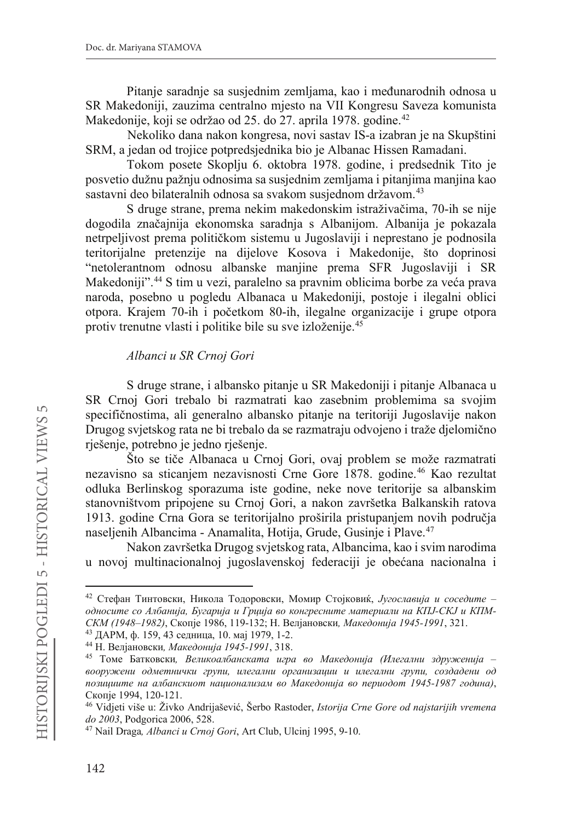Pitanie saradnie sa susiednim zemliama, kao i međunarodnih odnosa u SR Makedoniji, zauzima centralno mjesto na VII Kongresu Saveza komunista Makedonije, koji se održao od 25. do 27. aprila 1978. godine.<sup>42</sup>

Nekoliko dana nakon kongresa, novi sastav IS-a izabran je na Skupštini SRM, a jedan od trojice potpredsjednika bio je Albanac Hissen Ramadani.

Tokom posete Skoplju 6. oktobra 1978. godine, i predsednik Tito je posvetio dužnu pažnju odnosima sa susjednim zemljama i pitanjima manjina kao sastavni deo bilateralnih odnosa sa svakom susjednom državom.<sup>43</sup>

S druge strane, prema nekim makedonskim istraživačima, 70-ih se nije dogodila značajnija ekonomska saradnja s Albanijom. Albanija je pokazala netrpeljivost prema političkom sistemu u Jugoslaviji i neprestano je podnosila teritorijalne pretenzije na dijelove Kosova i Makedonije, što doprinosi "netolerantnom odnosu albanske manjine prema SFR Jugoslaviji i SR Makedoniji".<sup>44</sup> S tim u vezi, paralelno sa pravnim oblicima borbe za veća prava naroda, posebno u pogledu Albanaca u Makedoniji, postoje i ilegalni oblici otpora. Krajem 70-ih i početkom 80-ih, ilegalne organizacije i grupe otpora protiv trenutne vlasti i politike bile su sve izloženije.45

#### *Albanci u SR Crnoj Gori*

S druge strane, i albansko pitanje u SR Makedoniji i pitanje Albanaca u SR Crnoj Gori trebalo bi razmatrati kao zasebnim problemima sa svojim specifičnostima, ali generalno albansko pitanje na teritoriji Jugoslavije nakon Drugog svjetskog rata ne bi trebalo da se razmatraju odvojeno i traže djelomično rješenje, potrebno je jedno rješenje.

Što se tiče Albanaca u Crnoj Gori, ovaj problem se može razmatrati nezavisno sa sticanjem nezavisnosti Crne Gore 1878. godine.<sup>46</sup> Kao rezultat odluka Berlinskog sporazuma iste godine, neke nove teritorije sa albanskim stanovništvom pripojene su Crnoj Gori, a nakon završetka Balkanskih ratova 1913. godine Crna Gora se teritorijalno proširila pristupanjem novih područja naseljenih Albancima - Anamalita, Hotija, Grude, Gusinje i Plave. 47

Nakon završetka Drugog svjetskog rata, Albancima, kao i svim narodima u novoj multinacionalnoj jugoslavenskoj federaciji je obećana nacionalna i

<sup>&</sup>lt;sup>42</sup> Стефан Тинтовски, Никола Тодоровски, Момир Стојковиќ, Југославија и соседите *односите со Албанија, Бугарија и Грција во конгресните материали на КПЈ-СКЈ и КПМ-*<br>СКМ (1948–1982), Скопје 1986, 119-132; Н. Велјановски, Македонија 1945-1991, 321.

<sup>&</sup>lt;sup>43</sup> ДАРМ, ф. 159, 43 седница, 10. мај 1979, 1-2.<br><sup>44</sup> Н. Велјановски, *Македонија 1945-1991*, 318.<br><sup>45</sup> Томе Батковски, *Великоалбанската игра во Македонија (Илегални здруженија –* вооружени одметнички групи, илегални организации и илегални групи, создадени од noзициите на албанскиот национализам во Македонија во периодот 1945-1987 година),<br>Скопје 1994, 120-121.

<sup>&</sup>lt;sup>46</sup> Vidjeti više u: Živko Andrijašević, Šerbo Rastoder, *Istorija Crne Gore od najstarijih vremena do 2003*, Podgorica 2006, 528.

<sup>&</sup>lt;sup>47</sup> Nail Draga, Albanci u Crnoj Gori, Art Club, Ulcinj 1995, 9-10.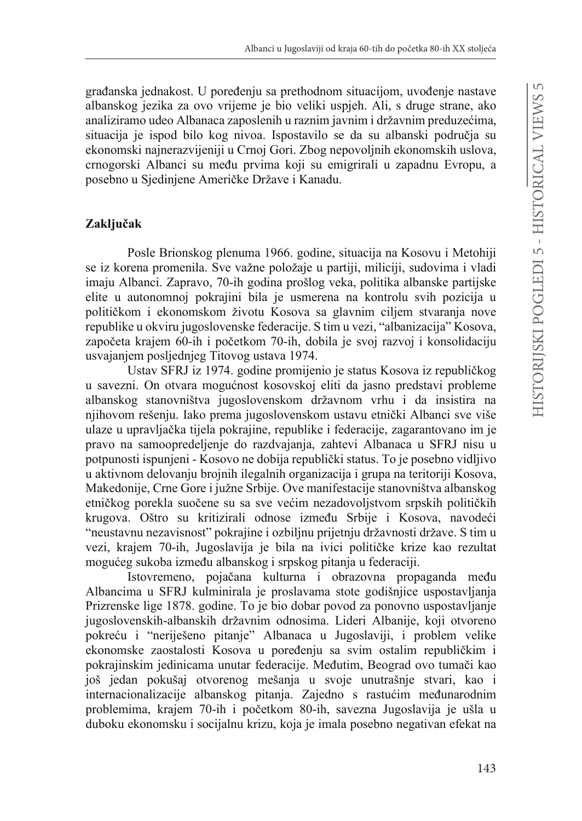građanska jednakost. U poređenju sa prethodnom situacijom, uvođenje nastave albanskog jezika za ovo vrijeme je bio veliki uspjeh. Ali, s druge strane, ako analiziramo udeo Albanaca zaposlenih u raznim javnim i državnim preduzećima, situacija je ispod bilo kog nivoa. Ispostavilo se da su albanski područja su ekonomski najnerazvijeniji u Crnoj Gori. Zbog nepovoljnih ekonomskih uslova, crnogorski Albanci su među prvima koji su emigrirali u zapadnu Evropu, a posebno u Sjedinjene Američke Države i Kanadu.

#### **Zaključak**

Posle Brionskog plenuma 1966. godine, situacija na Kosovu i Metohiji se iz korena promenila. Sve važne položaje u partiji, miliciji, sudovima i vladi imaju Albanci. Zapravo, 70-ih godina prošlog veka, politika albanske partijske elite u autonomnoj pokrajini bila je usmerena na kontrolu svih pozicija u političkom i ekonomskom životu Kosova sa glavnim ciljem stvaranja nove republike u okviru jugoslovenske federacije. S tim u vezi, "albanizacija" Kosova, započeta krajem 60-ih i početkom 70-ih, dobila je svoj razvoj i konsolidaciju usvajanjem posljednjeg Titovog ustava 1974.

Ustav SFRJ iz 1974. godine promijenio je status Kosova iz republičkog u savezni. On otvara mogućnost kosovskoj eliti da jasno predstavi probleme albanskog stanovništva jugoslovenskom državnom vrhu i da insistira na njihovom rešenju. Iako prema jugoslovenskom ustavu etnički Albanci sve više ulaze u upravljačka tijela pokrajine, republike i federacije, zagarantovano im je pravo na samoopredeljenje do razdvajanja, zahtevi Albanaca u SFRJ nisu u potpunosti ispunjeni - Kosovo ne dobija republički status. To je posebno vidljivo u aktivnom delovanju brojnih ilegalnih organizacija i grupa na teritoriji Kosova, Makedonije, Crne Gore i južne Srbije. Ove manifestacije stanovništva albanskog etničkog porekla suočene su sa sve većim nezadovoljstvom srpskih političkih krugova. Oštro su kritizirali odnose između Srbije i Kosova, navodeći "neustavnu nezavisnost" pokrajine i ozbiljnu prijetnju državnosti države. S tim u vezi, krajem 70-ih, Jugoslavija je bila na ivici političke krize kao rezultat mogućeg sukoba između albanskog i srpskog pitanja u federaciji.

Istovremeno, pojačana kulturna i obrazovna propaganda među Albancima u SFRJ kulminirala je proslavama stote godišnjice uspostavljanja Prizrenske lige 1878. godine. To je bio dobar povod za ponovno uspostavljanje jugoslovenskih-albanskih državnim odnosima. Lideri Albanije, koji otvoreno pokreću i "neriješeno pitanje" Albanaca u Jugoslaviji, i problem velike ekonomske zaostalosti Kosova u poređenju sa svim ostalim republičkim i pokrajinskim jedinicama unutar federacije. Međutim, Beograd ovo tumači kao još jedan pokušaj otvorenog mešanja u svoje unutrašnje stvari, kao i internacionalizacije albanskog pitanja. Zajedno s rastućim međunarodnim problemima, krajem 70-ih i početkom 80-ih, savezna Jugoslavija je ušla u duboku ekonomsku i socijalnu krizu, koja je imala posebno negativan efekat na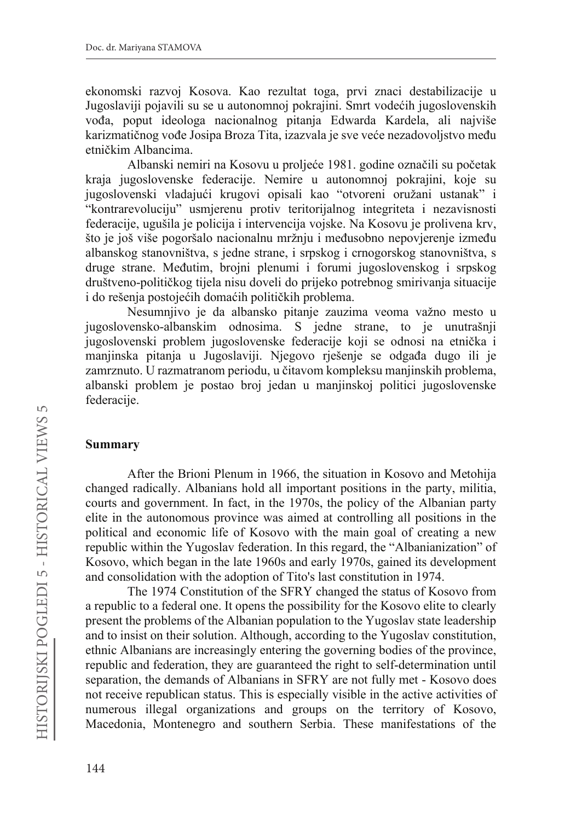ekonomski razvoj Kosova. Kao rezultat toga, prvi znaci destabilizacije u Jugoslaviji pojavili su se u autonomnoj pokrajini. Smrt vodećih jugoslovenskih vođa, poput ideologa nacionalnog pitanja Edwarda Kardela, ali najviše karizmatičnog vođe Josipa Broza Tita, izazvala je sve veće nezadovoljstvo među etničkim Albancima.

Albanski nemiri na Kosovu u proljeće 1981. godine označili su početak kraja jugoslovenske federacije. Nemire u autonomnoj pokrajini, koje su jugoslovenski vladajući krugovi opisali kao "otvoreni oružani ustanak" i "kontrarevoluciju" usmjerenu protiv teritorijalnog integriteta i nezavisnosti federacije, ugušila je policija i intervencija vojske. Na Kosovu je prolivena krv, što je još više pogoršalo nacionalnu mržnju i međusobno nepovjerenje između albanskog stanovništva, s jedne strane, i srpskog i crnogorskog stanovništva, s druge strane. Međutim, brojni plenumi i forumi jugoslovenskog i srpskog društveno-političkog tijela nisu doveli do prijeko potrebnog smirivanja situacije i do rešenja postojećih domaćih političkih problema.

Nesumnjivo je da albansko pitanje zauzima veoma važno mesto u jugoslovensko-albanskim odnosima. S jedne strane, to je unutrašnji jugoslovenski problem jugoslovenske federacije koji se odnosi na etnička i manjinska pitanja u Jugoslaviji. Njegovo rješenje se odgađa dugo ili je zamrznuto. U razmatranom periodu, u čitavom kompleksu manjinskih problema, albanski problem je postao broj jedan u manjinskoj politici jugoslovenske federacije.

#### **Summary**

After the Brioni Plenum in 1966, the situation in Kosovo and Metohija changed radically. Albanians hold all important positions in the party, militia, courts and government. In fact, in the 1970s, the policy of the Albanian party elite in the autonomous province was aimed at controlling all positions in the political and economic life of Kosovo with the main goal of creating a new republic within the Yugoslav federation. In this regard, the "Albanianization" of Kosovo, which began in the late 1960s and early 1970s, gained its development and consolidation with the adoption of Tito's last constitution in 1974.

The 1974 Constitution of the SFRY changed the status of Kosovo from a republic to a federal one. It opens the possibility for the Kosovo elite to clearly present the problems of the Albanian population to the Yugoslav state leadership and to insist on their solution. Although, according to the Yugoslav constitution, ethnic Albanians are increasingly entering the governing bodies of the province, republic and federation, they are guaranteed the right to self-determination until separation, the demands of Albanians in SFRY are not fully met - Kosovo does not receive republican status. This is especially visible in the active activities of numerous illegal organizations and groups on the territory of Kosovo, Macedonia, Montenegro and southern Serbia. These manifestations of the